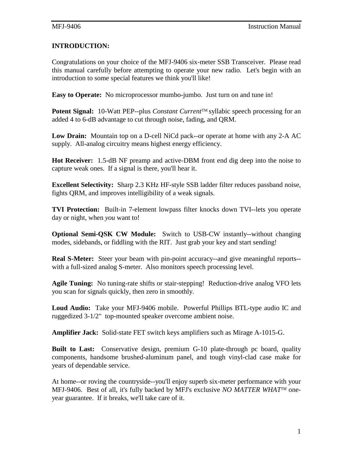# **INTRODUCTION:**

Congratulations on your choice of the MFJ-9406 six-meter SSB Transceiver. Please read this manual carefully before attempting to operate your new radio. Let's begin with an introduction to some special features we think you'll like!

**Easy to Operate:** No microprocessor mumbo-jumbo. Just turn on and tune in!

**Potent Signal:** 10-Watt PEP--plus *Constant Current*<sup>TM</sup> syllabic speech processing for an added 4 to 6-dB advantage to cut through noise, fading, and QRM.

**Low Drain:** Mountain top on a D-cell NiCd pack--or operate at home with any 2-A AC supply. All-analog circuitry means highest energy efficiency.

**Hot Receiver:** 1.5-dB NF preamp and active-DBM front end dig deep into the noise to capture weak ones. If a signal is there, you'll hear it.

**Excellent Selectivity:** Sharp 2.3 KHz HF-style SSB ladder filter reduces passband noise, fights QRM, and improves intelligibility of a weak signals.

**TVI Protection:** Built-in 7-element lowpass filter knocks down TVI--lets you operate day or night, when *you* want to!

**Optional Semi-QSK CW Module:** Switch to USB-CW instantly--without changing modes, sidebands, or fiddling with the RIT. Just grab your key and start sending!

**Real S-Meter:** Steer your beam with pin-point accuracy--and give meaningful reports-with a full-sized analog S-meter. Also monitors speech processing level.

**Agile Tuning:** No tuning-rate shifts or stair-stepping! Reduction-drive analog VFO lets you scan for signals quickly, then zero in smoothly.

**Loud Audio:** Take your MFJ-9406 mobile. Powerful Phillips BTL-type audio IC and ruggedized 3-1/2" top-mounted speaker overcome ambient noise.

**Amplifier Jack:** Solid-state FET switch keys amplifiers such as Mirage A-1015-G.

**Built to Last:** Conservative design, premium G-10 plate-through pc board, quality components, handsome brushed-aluminum panel, and tough vinyl-clad case make for years of dependable service.

At home--or roving the countryside--you'll enjoy superb six-meter performance with your MFJ-9406. Best of all, it's fully backed by MFJ's exclusive *NO MATTER WHATTM* oneyear guarantee. If it breaks, we'll take care of it.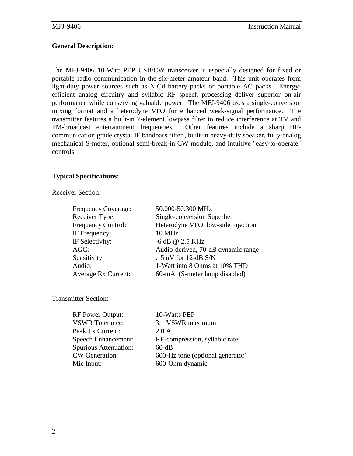## **General Description:**

The MFJ-9406 10-Watt PEP USB/CW transceiver is especially designed for fixed or portable radio communication in the six-meter amateur band. This unit operates from light-duty power sources such as NiCd battery packs or portable AC packs. Energyefficient analog circuitry and syllabic RF speech processing deliver superior on-air performance while conserving valuable power. The MFJ-9406 uses a single-conversion mixing format and a heterodyne VFO for enhanced weak-signal performance. The transmitter features a built-in 7-element lowpass filter to reduce interference at TV and FM-broadcast entertainment frequencies. Other features include a sharp HFcommunication grade crystal IF bandpass filter , built-in heavy-duty speaker, fully-analog mechanical S-meter, optional semi-break-in CW module, and intuitive "easy-to-operate" controls.

#### **Typical Specifications:**

Receiver Section:

| Frequency Coverage:        | 50.000-50.300 MHz                  |
|----------------------------|------------------------------------|
| Receiver Type:             | Single-conversion Superhet         |
| Frequency Control:         | Heterodyne VFO, low-side injection |
| IF Frequency:              | <b>10 MHz</b>                      |
| IF Selectivity:            | -6 dB @ 2.5 KHz                    |
| $AGC$ :                    | Audio-derived, 70-dB dynamic range |
| Sensitivity:               | .15 uV for 12-dB $S/N$             |
| Audio:                     | 1-Watt into 8 Ohms at 10% THD      |
| <b>Average Rx Current:</b> | 60-mA, (S-meter lamp disabled)     |
|                            |                                    |

Transmitter Section:

| <b>RF Power Output:</b>    | 10-Watts PEP                     |
|----------------------------|----------------------------------|
| <b>VSWR</b> Tolerance:     | 3:1 VSWR maximum                 |
| Peak Tx Current:           | 2.0 A                            |
| <b>Speech Enhancement:</b> | RF-compression, syllabic rate    |
| Spurious Attenuation:      | $60-dB$                          |
| <b>CW</b> Generation:      | 600-Hz tone (optional generator) |
| Mic Input:                 | 600-Ohm dynamic                  |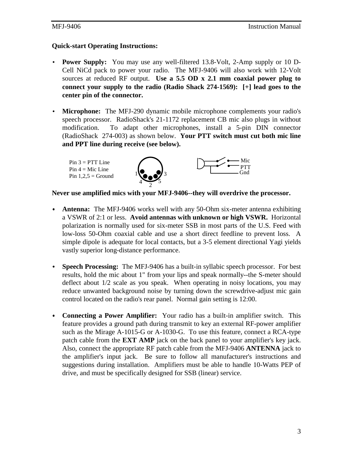## **Quick-start Operating Instructions:**

- **Power Supply:** You may use any well-filtered 13.8-Volt, 2-Amp supply or 10 D-Cell NiCd pack to power your radio. The MFJ-9406 will also work with 12-Volt sources at reduced RF output. **Use a 5.5 OD x 2.1 mm coaxial power plug to connect your supply to the radio (Radio Shack 274-1569): [+] lead goes to the center pin of the connector.**
- **Microphone:** The MFJ-290 dynamic mobile microphone complements your radio's speech processor. RadioShack's 21-1172 replacement CB mic also plugs in without modification. To adapt other microphones, install a 5-pin DIN connector (RadioShack 274-003) as shown below. **Your PTT switch must cut both mic line and PPT line during receive (see below).**

 $Pin 3 = PTT$  Line Pin  $4 =$  Mic Line Pin  $1,2,5 =$  Ground





**Never use amplified mics with your MFJ-9406--they will overdrive the processor.**

- **Antenna:** The MFJ-9406 works well with any 50-Ohm six-meter antenna exhibiting a VSWR of 2:1 or less. **Avoid antennas with unknown or high VSWR.** Horizontal polarization is normally used for six-meter SSB in most parts of the U.S. Feed with low-loss 50-Ohm coaxial cable and use a short direct feedline to prevent loss. A simple dipole is adequate for local contacts, but a 3-5 element directional Yagi yields vastly superior long-distance performance.
- **Speech Processing:** The MFJ-9406 has a built-in syllabic speech processor. For best results, hold the mic about 1" from your lips and speak normally--the S-meter should deflect about 1/2 scale as you speak. When operating in noisy locations, you may reduce unwanted background noise by turning down the screwdrive-adjust mic gain control located on the radio's rear panel. Normal gain setting is 12:00.
- • **Connecting a Power Amplifier:** Your radio has a built-in amplifier switch. This feature provides a ground path during transmit to key an external RF-power amplifier such as the Mirage A-1015-G or A-1030-G. To use this feature, connect a RCA-type patch cable from the **EXT AMP** jack on the back panel to your amplifier's key jack. Also, connect the appropriate RF patch cable from the MFJ-9406 **ANTENNA** jack to the amplifier's input jack. Be sure to follow all manufacturer's instructions and suggestions during installation. Amplifiers must be able to handle 10-Watts PEP of drive, and must be specifically designed for SSB (linear) service.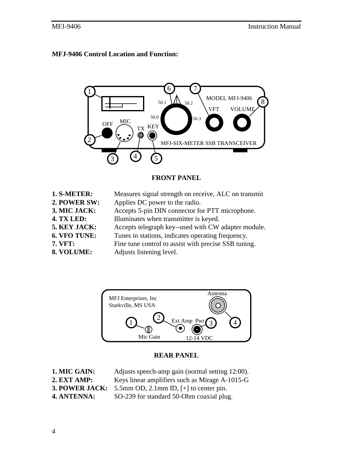# **MFJ-9406 Control Location and Function:**



#### **FRONT PANEL**

| 1. S-METER:<br>2. POWER SW: | Measures signal strength on receive, ALC on transmit<br>Applies DC power to the radio. |
|-----------------------------|----------------------------------------------------------------------------------------|
| 3. MIC JACK:                | Accepts 5-pin DIN connector for PTT microphone.                                        |
| 4. TX LED:                  | Illuminates when transmitter is keyed.                                                 |
| 5. KEY JACK:                | Accepts telegraph key--used with CW adapter module.                                    |
| 6. VFO TUNE:                | Tunes in stations, indicates operating frequency.                                      |
| <b>7. VFT:</b>              | Fine tune control to assist with precise SSB tuning.                                   |
| 8. VOLUME:                  | Adjusts listening level.                                                               |



#### **REAR PANEL**

| 1. MIC GAIN:   | Adjusts speech-amp gain (normal setting 12:00). |
|----------------|-------------------------------------------------|
| 2. EXT AMP:    | Keys linear amplifiers such as Mirage A-1015-G  |
| 3. POWER JACK: | 5.5mm OD, 2.1mm ID, $[+]$ to center pin.        |
| 4. ANTENNA:    | SO-239 for standard 50-Ohm coaxial plug.        |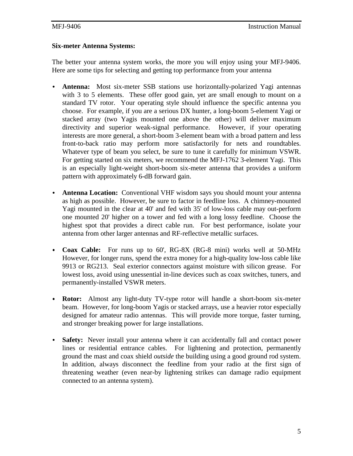#### **Six-meter Antenna Systems:**

The better your antenna system works, the more you will enjoy using your MFJ-9406. Here are some tips for selecting and getting top performance from your antenna

- **Antenna:** Most six-meter SSB stations use horizontally-polarized Yagi antennas with 3 to 5 elements. These offer good gain, yet are small enough to mount on a standard TV rotor. Your operating style should influence the specific antenna you choose. For example, if you are a serious DX hunter, a long-boom 5-element Yagi or stacked array (two Yagis mounted one above the other) will deliver maximum directivity and superior weak-signal performance. However, if your operating interests are more general, a short-boom 3-element beam with a broad pattern and less front-to-back ratio may perform more satisfactorily for nets and roundtables. Whatever type of beam you select, be sure to tune it carefully for minimum VSWR. For getting started on six meters, we recommend the MFJ-1762 3-element Yagi. This is an especially light-weight short-boom six-meter antenna that provides a uniform pattern with approximately 6-dB forward gain.
- • **Antenna Location:** Conventional VHF wisdom says you should mount your antenna as high as possible. However, be sure to factor in feedline loss. A chimney-mounted Yagi mounted in the clear at 40' and fed with 35' of low-loss cable may out-perform one mounted 20' higher on a tower and fed with a long lossy feedline. Choose the highest spot that provides a direct cable run. For best performance, isolate your antenna from other larger antennas and RF-reflective metallic surfaces.
- • **Coax Cable:** For runs up to 60', RG-8X (RG-8 mini) works well at 50-MHz However, for longer runs, spend the extra money for a high-quality low-loss cable like 9913 or RG213. Seal exterior connectors against moisture with silicon grease. For lowest loss, avoid using unessential in-line devices such as coax switches, tuners, and permanently-installed VSWR meters.
- **Rotor:** Almost any light-duty TV-type rotor will handle a short-boom six-meter beam. However, for long-boom Yagis or stacked arrays, use a heavier rotor especially designed for amateur radio antennas. This will provide more torque, faster turning, and stronger breaking power for large installations.
- **Safety:** Never install your antenna where it can accidentally fall and contact power lines or residential entrance cables. For lightening and protection, permanently ground the mast and coax shield *outside* the building using a good ground rod system. In addition, always disconnect the feedline from your radio at the first sign of threatening weather (even near-by lightening strikes can damage radio equipment connected to an antenna system).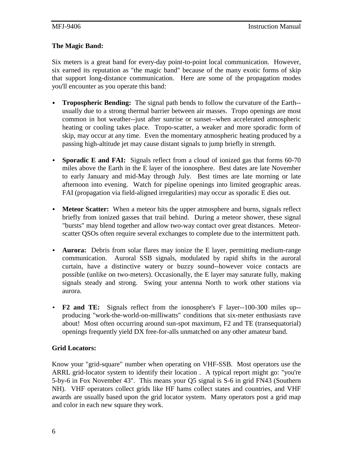## **The Magic Band:**

Six meters is a great band for every-day point-to-point local communication. However, six earned its reputation as "the magic band" because of the many exotic forms of skip that support long-distance communication. Here are some of the propagation modes you'll encounter as you operate this band:

- • **Tropospheric Bending:** The signal path bends to follow the curvature of the Earth- usually due to a strong thermal barrier between air masses. Tropo openings are most common in hot weather--just after sunrise or sunset--when accelerated atmospheric heating or cooling takes place. Tropo-scatter, a weaker and more sporadic form of skip, may occur at any time. Even the momentary atmospheric heating produced by a passing high-altitude jet may cause distant signals to jump briefly in strength.
- **Sporadic E and FAI:** Signals reflect from a cloud of ionized gas that forms 60-70 miles above the Earth in the E layer of the ionosphere. Best dates are late November to early January and mid-May through July. Best times are late morning or late afternoon into evening. Watch for pipeline openings into limited geographic areas. FAI (propagation via field-aligned irregularities) may occur as sporadic E dies out.
- **Meteor Scatter:** When a meteor hits the upper atmosphere and burns, signals reflect briefly from ionized gasses that trail behind. During a meteor shower, these signal "bursts" may blend together and allow two-way contact over great distances. Meteorscatter QSOs often require several exchanges to complete due to the intermittent path.
- **Aurora:** Debris from solar flares may ionize the E layer, permitting medium-range communication. Auroral SSB signals, modulated by rapid shifts in the auroral curtain, have a distinctive watery or buzzy sound--however voice contacts are possible (unlike on two-meters). Occasionally, the E layer may saturate fully, making signals steady and strong. Swing your antenna North to work other stations via aurora.
- **F2 and TE:** Signals reflect from the ionosphere's F layer--100-300 miles up- producing "work-the-world-on-milliwatts" conditions that six-meter enthusiasts rave about! Most often occurring around sun-spot maximum, F2 and TE (transequatorial) openings frequently yield DX free-for-alls unmatched on any other amateur band.

# **Grid Locators:**

Know your "grid-square" number when operating on VHF-SSB. Most operators use the ARRL grid-locator system to identify their location . A typical report might go: "you're 5-by-6 in Fox November 43". This means your Q5 signal is S-6 in grid FN43 (Southern NH). VHF operators collect grids like HF hams collect states and countries, and VHF awards are usually based upon the grid locator system. Many operators post a grid map and color in each new square they work.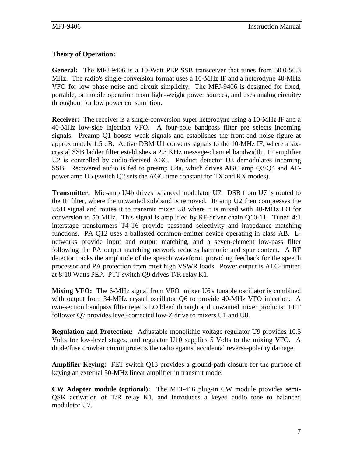# **Theory of Operation:**

**General:** The MFJ-9406 is a 10-Watt PEP SSB transceiver that tunes from 50.0-50.3 MHz. The radio's single-conversion format uses a 10-MHz IF and a heterodyne 40-MHz VFO for low phase noise and circuit simplicity. The MFJ-9406 is designed for fixed, portable, or mobile operation from light-weight power sources, and uses analog circuitry throughout for low power consumption.

**Receiver:** The receiver is a single-conversion super heterodyne using a 10-MHz IF and a 40-MHz low-side injection VFO. A four-pole bandpass filter pre selects incoming signals. Preamp Q1 boosts weak signals and establishes the front-end noise figure at approximately 1.5 dB. Active DBM U1 converts signals to the 10-MHz IF, where a sixcrystal SSB ladder filter establishes a 2.3 KHz message-channel bandwidth. IF amplifier U2 is controlled by audio-derived AGC. Product detector U3 demodulates incoming SSB. Recovered audio is fed to preamp U4a, which drives AGC amp Q3/Q4 and AFpower amp U5 (switch Q2 sets the AGC time constant for TX and RX modes).

**Transmitter:** Mic-amp U4b drives balanced modulator U7. DSB from U7 is routed to the IF filter, where the unwanted sideband is removed. IF amp U2 then compresses the USB signal and routes it to transmit mixer U8 where it is mixed with 40-MHz LO for conversion to 50 MHz. This signal is amplified by RF-driver chain Q10-11. Tuned 4:1 interstage transformers T4-T6 provide passband selectivity and impedance matching functions. PA Q12 uses a ballasted common-emitter device operating in class AB. Lnetworks provide input and output matching, and a seven-element low-pass filter following the PA output matching network reduces harmonic and spur content. A RF detector tracks the amplitude of the speech waveform, providing feedback for the speech processor and PA protection from most high VSWR loads. Power output is ALC-limited at 8-10 Watts PEP. PTT switch Q9 drives T/R relay K1.

**Mixing VFO:** The 6-MHz signal from VFO mixer U6's tunable oscillator is combined with output from 34-MHz crystal oscillator Q6 to provide 40-MHz VFO injection. A two-section bandpass filter rejects LO bleed through and unwanted mixer products. FET follower Q7 provides level-corrected low-Z drive to mixers U1 and U8.

**Regulation and Protection:** Adjustable monolithic voltage regulator U9 provides 10.5 Volts for low-level stages, and regulator U10 supplies 5 Volts to the mixing VFO. A diode/fuse crowbar circuit protects the radio against accidental reverse-polarity damage.

**Amplifier Keying:** FET switch Q13 provides a ground-path closure for the purpose of keying an external 50-MHz linear amplifier in transmit mode.

**CW Adapter module (optional):** The MFJ-416 plug-in CW module provides semi-QSK activation of T/R relay K1, and introduces a keyed audio tone to balanced modulator U7.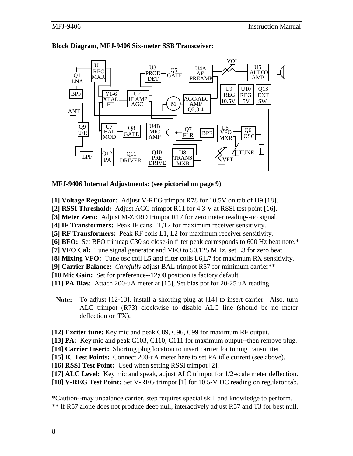

#### **Block Diagram, MFJ-9406 Six-meter SSB Transceiver:**

#### **MFJ-9406 Internal Adjustments: (see pictorial on page 9)**

**[1] Voltage Regulator:** Adjust V-REG trimpot R78 for 10.5V on tab of U9 [18].

**[2] RSSI Threshold:** Adjust AGC trimpot R11 for 4.3 V at RSSI test point [16].

**[3] Meter Zero:** Adjust M-ZERO trimpot R17 for zero meter reading--no signal.

**[4] IF Transformers:** Peak IF cans T1,T2 for maximum receiver sensitivity.

**[5] RF Transformers:** Peak RF coils L1, L2 for maximum receiver sensitivity.

**[6] BFO:** Set BFO trimcap C30 so close-in filter peak corresponds to 600 Hz beat note.\*

**[7] VFO Cal:** Tune signal generator and VFO to 50.125 MHz, set L3 for zero beat.

**[8] Mixing VFO:** Tune osc coil L5 and filter coils L6,L7 for maximum RX sensitivity.

**[9] Carrier Balance:** *Carefully* adjust BAL trimpot R57 for minimum carrier\*\*

**[10 Mic Gain:** Set for preference--12;00 position is factory default.

**[11] PA Bias:** Attach 200-uA meter at [15], Set bias pot for 20-25 uA reading.

**Note:** To adjust [12-13], install a shorting plug at [14] to insert carrier. Also, turn ALC trimpot (R73) clockwise to disable ALC line (should be no meter deflection on TX).

**[12] Exciter tune:** Key mic and peak C89, C96, C99 for maximum RF output.

**[13] PA:** Key mic and peak C103, C110, C111 for maximum output--then remove plug.

**[14] Carrier Insert:** Shorting plug location to insert carrier for tuning transmitter.

**[15] IC Test Points:** Connect 200-uA meter here to set PA idle current (see above).

**[16] RSSI Test Point:** Used when setting RSSI trimpot [2].

[17] **ALC Level:** Key mic and speak, adjust ALC trimpot for 1/2-scale meter deflection.

**[18] V-REG Test Point:** Set V-REG trimpot [1] for 10.5-V DC reading on regulator tab.

\*Caution--may unbalance carrier, step requires special skill and knowledge to perform. \*\* If R57 alone does not produce deep null, interactively adjust R57 and T3 for best null.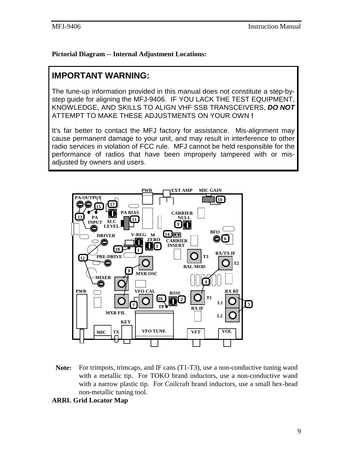# **Pictorial Diagram -- Internal Adjustment Locations:**

# **IMPORTANT WARNING:**

The tune-up information provided in this manual does not constitute a step-bystep guide for aligning the MFJ-9406. IF YOU LACK THE TEST EQUIPMENT, KNOWLEDGE, AND SKILLS TO ALIGN VHF SSB TRANSCEIVERS, *DO NOT* ATTEMPT TO MAKE THESE ADJUSTMENTS ON YOUR OWN **!**

It's far better to contact the MFJ factory for assistance. Mis-alignment may cause permanent damage to your unit, and may result in interference to other radio services in violation of FCC rule. MFJ cannot be held responsible for the performance of radios that have been improperly tampered with or misadjusted by owners and users.



**Note:** For trimpots, trimcaps, and IF cans (T1-T3), use a non-conductive tuning wand with a metallic tip. For TOKO brand inductors, use a non-conductive wand with a narrow plastic tip. For Coilcraft brand inductors, use a small hex-head non-metallic tuning tool.

#### **ARRL Grid Locator Map**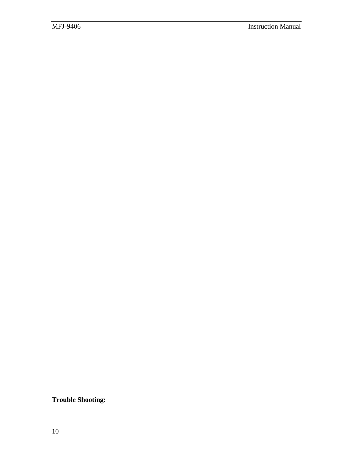**Trouble Shooting:**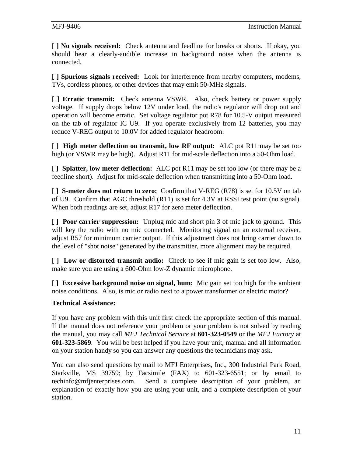**[ ] No signals received:** Check antenna and feedline for breaks or shorts. If okay, you should hear a clearly-audible increase in background noise when the antenna is connected.

**[ ] Spurious signals received:** Look for interference from nearby computers, modems, TVs, cordless phones, or other devices that may emit 50-MHz signals.

**[ ] Erratic transmit:** Check antenna VSWR. Also, check battery or power supply voltage. If supply drops below 12V under load, the radio's regulator will drop out and operation will become erratic. Set voltage regulator pot R78 for 10.5-V output measured on the tab of regulator IC U9. If you operate exclusively from 12 batteries, you may reduce V-REG output to 10.0V for added regulator headroom.

**[ ] High meter deflection on transmit, low RF output:** ALC pot R11 may be set too high (or VSWR may be high). Adjust R11 for mid-scale deflection into a 50-Ohm load.

**[ ] Splatter, low meter deflection:** ALC pot R11 may be set too low (or there may be a feedline short). Adjust for mid-scale deflection when transmitting into a 50-Ohm load.

**[ ] S-meter does not return to zero:** Confirm that V-REG (R78) is set for 10.5V on tab of U9. Confirm that AGC threshold (R11) is set for 4.3V at RSSI test point (no signal). When both readings are set, adjust R17 for zero meter deflection.

**[ ] Poor carrier suppression:** Unplug mic and short pin 3 of mic jack to ground. This will key the radio with no mic connected. Monitoring signal on an external receiver, adjust R57 for minimum carrier output. If this adjustment does not bring carrier down to the level of "shot noise" generated by the transmitter, more alignment may be required.

**[ ] Low or distorted transmit audio:** Check to see if mic gain is set too low. Also, make sure you are using a 600-Ohm low-Z dynamic microphone.

**[ ] Excessive background noise on signal, hum:** Mic gain set too high for the ambient noise conditions. Also, is mic or radio next to a power transformer or electric motor?

# **Technical Assistance:**

If you have any problem with this unit first check the appropriate section of this manual. If the manual does not reference your problem or your problem is not solved by reading the manual, you may call *MFJ Technical Service* at **601-323-0549** or the *MFJ Factory* at **601-323-5869**. You will be best helped if you have your unit, manual and all information on your station handy so you can answer any questions the technicians may ask.

You can also send questions by mail to MFJ Enterprises, Inc., 300 Industrial Park Road, Starkville, MS 39759; by Facsimile (FAX) to 601-323-6551; or by email to techinfo@mfjenterprises.com. Send a complete description of your problem, an explanation of exactly how you are using your unit, and a complete description of your station.